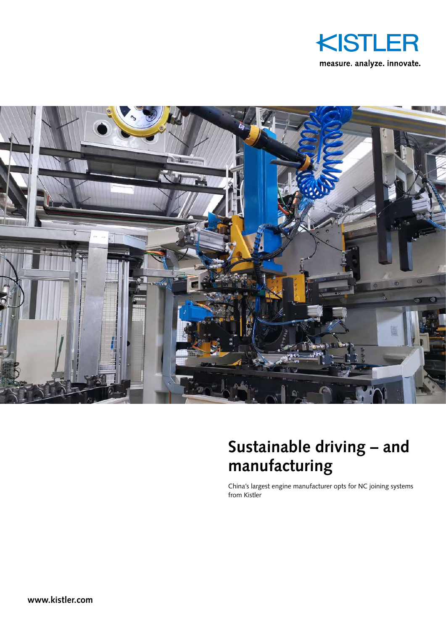



## **Sustainable driving – and manufacturing**

China's largest engine manufacturer opts for NC joining systems from Kistler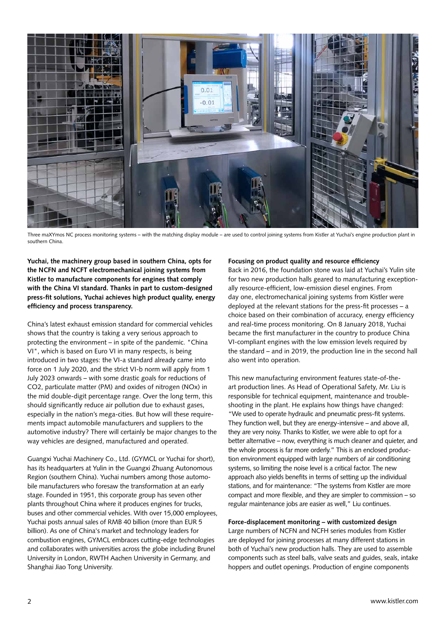

Three maXYmos NC process monitoring systems – with the matching display module – are used to control joining systems from Kistler at Yuchai's engine production plant in southern China.

**Yuchai, the machinery group based in southern China, opts for the NCFN and NCFT electromechanical joining systems from Kistler to manufacture components for engines that comply with the China VI standard. Thanks in part to custom-designed press-fit solutions, Yuchai achieves high product quality, energy efficiency and process transparency.**

China's latest exhaust emission standard for commercial vehicles shows that the country is taking a very serious approach to protecting the environment – in spite of the pandemic. "China VI", which is based on Euro VI in many respects, is being introduced in two stages: the VI-a standard already came into force on 1 July 2020, and the strict VI-b norm will apply from 1 July 2023 onwards – with some drastic goals for reductions of CO2, particulate matter (PM) and oxides of nitrogen (NOx) in the mid double-digit percentage range. Over the long term, this should significantly reduce air pollution due to exhaust gases, especially in the nation's mega-cities. But how will these requirements impact automobile manufacturers and suppliers to the automotive industry? There will certainly be major changes to the way vehicles are designed, manufactured and operated.

Guangxi Yuchai Machinery Co., Ltd. (GYMCL or Yuchai for short), has its headquarters at Yulin in the Guangxi Zhuang Autonomous Region (southern China). Yuchai numbers among those automobile manufacturers who foresaw the transformation at an early stage. Founded in 1951, this corporate group has seven other plants throughout China where it produces engines for trucks, buses and other commercial vehicles. With over 15,000 employees, Yuchai posts annual sales of RMB 40 billion (more than EUR 5 billion). As one of China's market and technology leaders for combustion engines, GYMCL embraces cutting-edge technologies and collaborates with universities across the globe including Brunel University in London, RWTH Aachen University in Germany, and Shanghai Jiao Tong University.

## **Focusing on product quality and resource efficiency**

Back in 2016, the foundation stone was laid at Yuchai's Yulin site for two new production halls geared to manufacturing exceptionally resource-efficient, low-emission diesel engines. From day one, electromechanical joining systems from Kistler were deployed at the relevant stations for the press-fit processes – a choice based on their combination of accuracy, energy efficiency and real-time process monitoring. On 8 January 2018, Yuchai became the first manufacturer in the country to produce China VI-compliant engines with the low emission levels required by the standard – and in 2019, the production line in the second hall also went into operation.

This new manufacturing environment features state-of-theart production lines. As Head of Operational Safety, Mr. Liu is responsible for technical equipment, maintenance and troubleshooting in the plant. He explains how things have changed: "We used to operate hydraulic and pneumatic press-fit systems. They function well, but they are energy-intensive – and above all, they are very noisy. Thanks to Kistler, we were able to opt for a better alternative – now, everything is much cleaner and quieter, and the whole process is far more orderly." This is an enclosed production environment equipped with large numbers of air conditioning systems, so limiting the noise level is a critical factor. The new approach also yields benefits in terms of setting up the individual stations, and for maintenance: "The systems from Kistler are more compact and more flexible, and they are simpler to commission – so regular maintenance jobs are easier as well," Liu continues.

## **Force-displacement monitoring – with customized design**

Large numbers of NCFN and NCFH series modules from Kistler are deployed for joining processes at many different stations in both of Yuchai's new production halls. They are used to assemble components such as steel balls, valve seats and guides, seals, intake hoppers and outlet openings. Production of engine components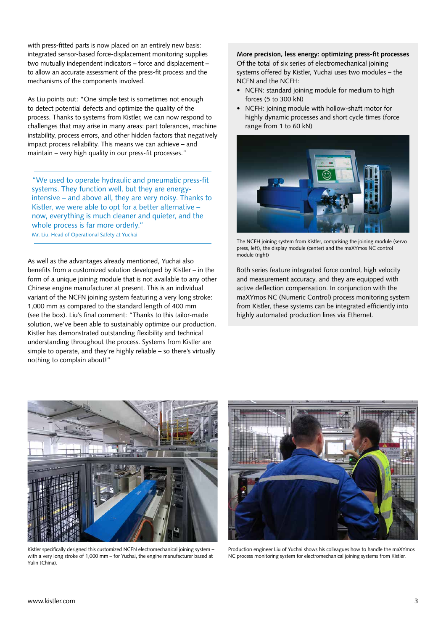with press-fitted parts is now placed on an entirely new basis: integrated sensor-based force-displacement monitoring supplies two mutually independent indicators – force and displacement – to allow an accurate assessment of the press-fit process and the mechanisms of the components involved.

As Liu points out: "One simple test is sometimes not enough to detect potential defects and optimize the quality of the process. Thanks to systems from Kistler, we can now respond to challenges that may arise in many areas: part tolerances, machine instability, process errors, and other hidden factors that negatively impact process reliability. This means we can achieve – and maintain – very high quality in our press-fit processes."

"We used to operate hydraulic and pneumatic press-fit systems. They function well, but they are energyintensive – and above all, they are very noisy. Thanks to Kistler, we were able to opt for a better alternative – now, everything is much cleaner and quieter, and the whole process is far more orderly." Mr. Liu, Head of Operational Safety at Yuchai

As well as the advantages already mentioned, Yuchai also benefits from a customized solution developed by Kistler – in the form of a unique joining module that is not available to any other Chinese engine manufacturer at present. This is an individual variant of the NCFN joining system featuring a very long stroke: 1,000 mm as compared to the standard length of 400 mm (see the box). Liu's final comment: "Thanks to this tailor-made solution, we've been able to sustainably optimize our production. Kistler has demonstrated outstanding flexibility and technical understanding throughout the process. Systems from Kistler are simple to operate, and they're highly reliable – so there's virtually nothing to complain about!"

## **More precision, less energy: optimizing press-fit processes** Of the total of six series of electromechanical joining systems offered by Kistler, Yuchai uses two modules – the NCFN and the NCFH:

- NCFN: standard joining module for medium to high forces (5 to 300 kN)
- NCFH: joining module with hollow-shaft motor for highly dynamic processes and short cycle times (force range from 1 to 60 kN)



The NCFH joining system from Kistler, comprising the joining module (servo press, left), the display module (center) and the maXYmos NC control module (right)

Both series feature integrated force control, high velocity and measurement accuracy, and they are equipped with active deflection compensation. In conjunction with the maXYmos NC (Numeric Control) process monitoring system from Kistler, these systems can be integrated efficiently into highly automated production lines via Ethernet.



Kistler specifically designed this customized NCFN electromechanical joining system – with a very long stroke of 1,000 mm – for Yuchai, the engine manufacturer based at Yulin (China).



Production engineer Liu of Yuchai shows his colleagues how to handle the maXYmos NC process monitoring system for electromechanical joining systems from Kistler.